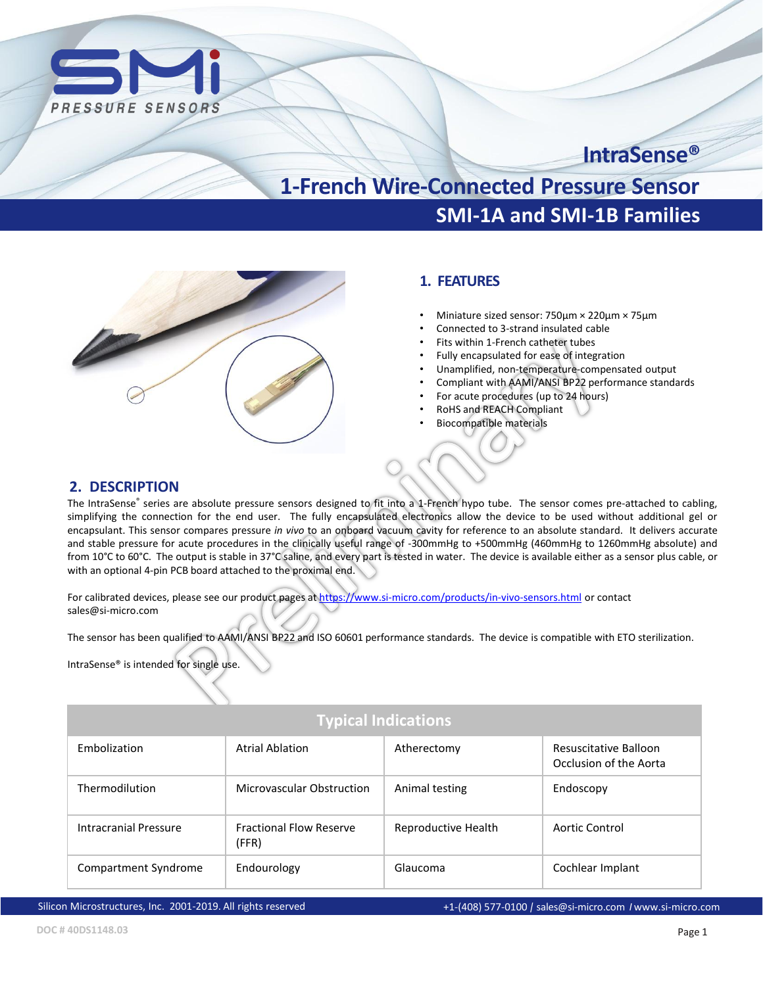

# **IntraSense®**

# **SMI-1A and SMI-1B Families 1-French Wire-Connected Pressure Sensor**



# **1. FEATURES**

- Miniature sized sensor: 750µm × 220µm × 75µm
- Connected to 3-strand insulated cable
- Fits within 1-French catheter tubes
- Fully encapsulated for ease of integration
- Unamplified, non-temperature-compensated output
- Compliant with AAMI/ANSI BP22 performance standards
- For acute procedures (up to 24 hours)
- RoHS and REACH Compliant
- Biocompatible materials

### **2. DESCRIPTION**

The IntraSense® series are absolute pressure sensors designed to fit into a 1-French hypo tube. The sensor comes pre-attached to cabling, simplifying the connection for the end user. The fully encapsulated electronics allow the device to be used without additional gel or encapsulant. This sensor compares pressure *in vivo* to an onboard vacuum cavity for reference to an absolute standard. It delivers accurate and stable pressure for acute procedures in the clinically useful range of -300mmHg to +500mmHg (460mmHg to 1260mmHg absolute) and from 10°C to 60°C. The output is stable in 37°C saline, and every part is tested in water. The device is available either as a sensor plus cable, or with an optional 4-pin PCB board attached to the proximal end.

For calibrated devices, please see our product pages at <https://www.si-micro.com/products/in-vivo-sensors.html> or contact sales@si-micro.com

The sensor has been qualified to AAMI/ANSI BP22 and ISO 60601 performance standards. The device is compatible with ETO sterilization.

IntraSense® is intended for single use.

| <b>Typical Indications</b> |                                         |                     |                                                 |  |  |  |
|----------------------------|-----------------------------------------|---------------------|-------------------------------------------------|--|--|--|
| Embolization               | <b>Atrial Ablation</b>                  | Atherectomy         | Resuscitative Balloon<br>Occlusion of the Aorta |  |  |  |
| Thermodilution             | Microvascular Obstruction               | Animal testing      | Endoscopy                                       |  |  |  |
| Intracranial Pressure      | <b>Fractional Flow Reserve</b><br>(FFR) | Reproductive Health | Aortic Control                                  |  |  |  |
| Compartment Syndrome       | Endourology                             | Glaucoma            | Cochlear Implant                                |  |  |  |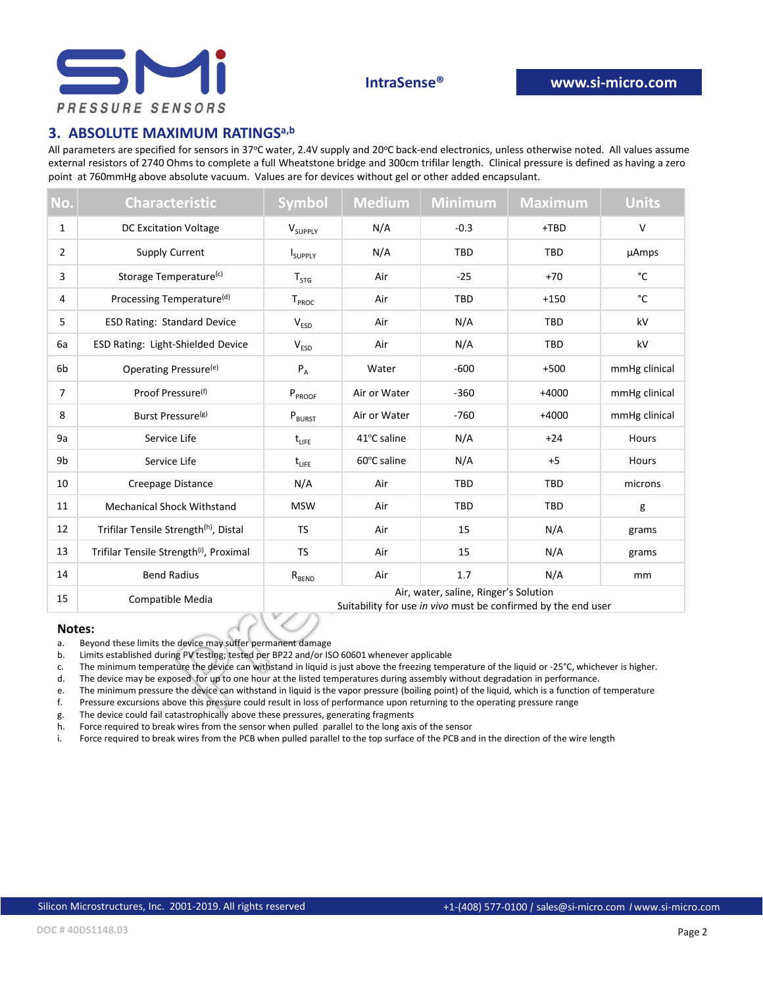

# **3. ABSOLUTE MAXIMUM RATINGSa,b**

All parameters are specified for sensors in 37°C water, 2.4V supply and 20°C back-end electronics, unless otherwise noted. All values assume external resistors of 2740 Ohms to complete a full Wheatstone bridge and 300cm trifilar length. Clinical pressure is defined as having a zero point at 760mmHg above absolute vacuum. Values are for devices without gel or other added encapsulant.

| No.            | <b>Characteristic</b>                               | <b>Symbol</b>                                                                                          | <b>Medium</b> | <b>Minimum</b> | <b>Maximum</b> | <b>Units</b>  |
|----------------|-----------------------------------------------------|--------------------------------------------------------------------------------------------------------|---------------|----------------|----------------|---------------|
| $\mathbf{1}$   | <b>DC Excitation Voltage</b>                        | $V_{SUPPLY}$                                                                                           | N/A           | $-0.3$         | $+TBD$         | $\mathsf{V}$  |
| $\overline{2}$ | Supply Current                                      | <b>I</b> SUPPLY                                                                                        | N/A           | <b>TBD</b>     | <b>TBD</b>     | <b>µAmps</b>  |
| 3              | Storage Temperature <sup>(c)</sup>                  | $T_{STG}$                                                                                              | Air           | $-25$          | $+70$          | °C            |
| 4              | Processing Temperature <sup>(d)</sup>               | T <sub>PROC</sub>                                                                                      | Air           | <b>TBD</b>     | $+150$         | °C            |
| 5              | <b>ESD Rating: Standard Device</b>                  | $V_{ESD}$                                                                                              | Air           | N/A            | TBD            | kV            |
| 6a             | <b>ESD Rating: Light-Shielded Device</b>            | V <sub>ESD</sub>                                                                                       | Air           | N/A            | <b>TBD</b>     | kV            |
| 6b             | Operating Pressure <sup>(e)</sup>                   | $\mathsf{P}_{\mathsf{A}}$                                                                              | Water         | $-600$         | $+500$         | mmHg clinical |
| $\overline{7}$ | Proof Pressure <sup>(f)</sup>                       | $P_{PROOF}$                                                                                            | Air or Water  | $-360$         | $+4000$        | mmHg clinical |
| 8              | Burst Pressure <sup>(g)</sup>                       | $P_{BURST}$                                                                                            | Air or Water  | $-760$         | $+4000$        | mmHg clinical |
| 9a             | Service Life                                        | $t_{LIEE}$                                                                                             | 41°C saline   | N/A            | $+24$          | Hours         |
| 9b             | Service Life                                        | $t_{LIEE}$                                                                                             | 60°C saline   | N/A            | $+5$           | Hours         |
| 10             | <b>Creepage Distance</b>                            | N/A                                                                                                    | Air           | <b>TBD</b>     | <b>TBD</b>     | microns       |
| 11             | <b>Mechanical Shock Withstand</b>                   | <b>MSW</b>                                                                                             | Air           | <b>TBD</b>     | <b>TBD</b>     | g             |
| 12             | Trifilar Tensile Strength <sup>(h)</sup> , Distal   | <b>TS</b>                                                                                              | Air           | 15             | N/A            | grams         |
| 13             | Trifilar Tensile Strength <sup>(i)</sup> , Proximal | <b>TS</b>                                                                                              | Air           | 15             | N/A            | grams         |
| 14             | <b>Bend Radius</b>                                  | $R_{\texttt{BEND}}$                                                                                    | Air           | 1.7            | N/A            | mm            |
| 15             | Compatible Media                                    | Air, water, saline, Ringer's Solution<br>Suitability for use in vivo must be confirmed by the end user |               |                |                |               |

#### **Notes:**

a. Beyond these limits the device may suffer permanent damage

b. Limits established during PV testing; tested per BP22 and/or ISO 60601 whenever applicable

c. The minimum temperature the device can withstand in liquid is just above the freezing temperature of the liquid or -25°C, whichever is higher.

d. The device may be exposed for up to one hour at the listed temperatures during assembly without degradation in performance.<br>e. The minimum pressure the device can withstand in liquid is the vapor pressure (boiling point

- The minimum pressure the device can withstand in liquid is the vapor pressure (boiling point) of the liquid, which is a function of temperature
- f. Pressure excursions above this pressure could result in loss of performance upon returning to the operating pressure range

g. The device could fail catastrophically above these pressures, generating fragments

h. Force required to break wires from the sensor when pulled parallel to the long axis of the sensor

i. Force required to break wires from the PCB when pulled parallel to the top surface of the PCB and in the direction of the wire length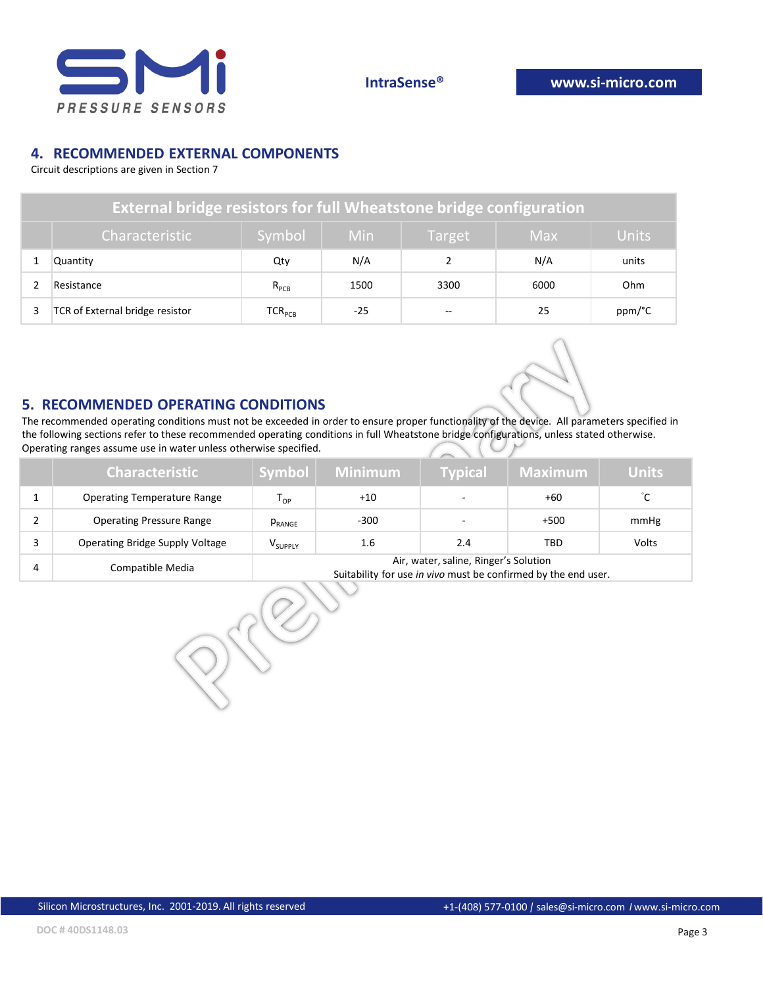

# **4. RECOMMENDED EXTERNAL COMPONENTS**

Circuit descriptions are given in Section 7

| External bridge resistors for full Wheatstone bridge configuration |                                                                                |                             |      |               |      |        |  |
|--------------------------------------------------------------------|--------------------------------------------------------------------------------|-----------------------------|------|---------------|------|--------|--|
|                                                                    | Symbol<br><b>Units</b><br><b>Min</b><br>Characteristic<br><b>Max</b><br>Target |                             |      |               |      |        |  |
|                                                                    | <b>Quantity</b>                                                                | Qty                         | N/A  |               | N/A  | units  |  |
|                                                                    | Resistance                                                                     | $R_{PCB}$                   | 1500 | 3300          | 6000 | Ohm    |  |
|                                                                    | TCR of External bridge resistor                                                | $\mathsf{TCR}_\mathsf{PCB}$ | -25  | $\sim$ $\sim$ | 25   | ppm/°C |  |



### **5. RECOMMENDED OPERATING CONDITIONS**

The recommended operating conditions must not be exceeded in order to ensure proper functionality of the device. All parameters specified in the following sections refer to these recommended operating conditions in full Wheatstone bridge configurations, unless stated otherwise. Operating ranges assume use in water unless otherwise specified.

|   | <b>Characteristic</b>              | Symbol                                                                                                  | Minimum | <b>Typical</b> | <b>Maximum</b> | <b>Units</b> |
|---|------------------------------------|---------------------------------------------------------------------------------------------------------|---------|----------------|----------------|--------------|
|   | <b>Operating Temperature Range</b> | $\mathsf{T}_{\mathsf{OP}}$                                                                              | $+10$   | $\sim$         | +60            | °C.          |
|   | <b>Operating Pressure Range</b>    | PRANGE                                                                                                  | $-300$  |                | $+500$         | mmHg         |
|   | Operating Bridge Supply Voltage    | V <sub>SUPPLY</sub>                                                                                     | 1.6     | 2.4            | TBD            | Volts        |
| 4 | Compatible Media                   | Air, water, saline, Ringer's Solution<br>Suitability for use in vivo must be confirmed by the end user. |         |                |                |              |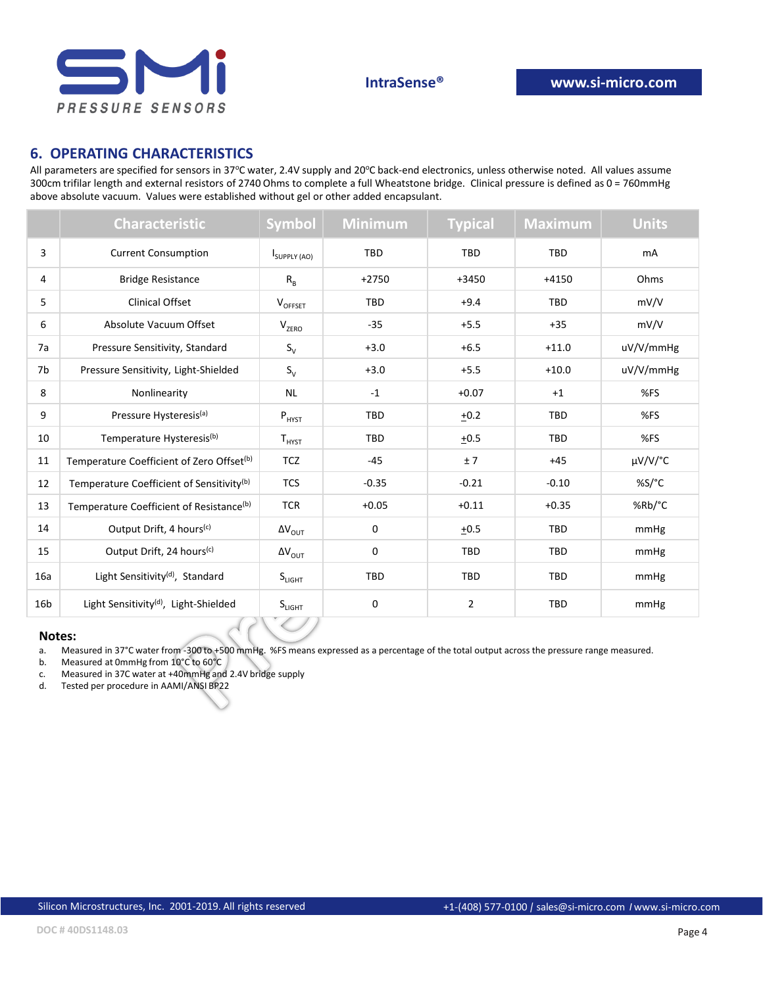

### **6. OPERATING CHARACTERISTICS**

All parameters are specified for sensors in 37°C water, 2.4V supply and 20°C back-end electronics, unless otherwise noted. All values assume 300cm trifilar length and external resistors of 2740 Ohms to complete a full Wheatstone bridge. Clinical pressure is defined as 0 = 760mmHg above absolute vacuum. Values were established without gel or other added encapsulant.

|                 | <b>Characteristic</b>                                 | <b>Symbol</b>                                                  | <b>Minimum</b> | <b>Typical</b> | <b>Maximum</b> | <b>Units</b> |
|-----------------|-------------------------------------------------------|----------------------------------------------------------------|----------------|----------------|----------------|--------------|
| 3               | <b>Current Consumption</b>                            | ISUPPLY (AO)                                                   | <b>TBD</b>     | TBD            | <b>TBD</b>     | mA           |
| 4               | <b>Bridge Resistance</b>                              | $R_B$                                                          | $+2750$        | $+3450$        | $+4150$        | Ohms         |
| 5               | <b>Clinical Offset</b>                                | VOFFSET                                                        | <b>TBD</b>     | $+9.4$         | <b>TBD</b>     | mV/V         |
| 6               | Absolute Vacuum Offset                                | $V_{ZERO}$                                                     | $-35$          | $+5.5$         | $+35$          | mV/V         |
| 7a              | Pressure Sensitivity, Standard                        | $S_V$                                                          | $+3.0$         | $+6.5$         | $+11.0$        | uV/V/mmHg    |
| 7b              | Pressure Sensitivity, Light-Shielded                  | $S_V$                                                          | $+3.0$         | $+5.5$         | $+10.0$        | uV/V/mmHg    |
| 8               | Nonlinearity                                          | <b>NL</b>                                                      | $-1$           | $+0.07$        | $+1$           | %FS          |
| 9               | Pressure Hysteresis <sup>(a)</sup>                    | $P_{HYST}$                                                     | <b>TBD</b>     | $+0.2$         | TBD            | %FS          |
| 10              | Temperature Hysteresis <sup>(b)</sup>                 | ${\mathsf T}_{\mathsf{H} {\mathsf Y} {\mathsf S} {\mathsf T}}$ | <b>TBD</b>     | ±0.5           | TBD            | %FS          |
| 11              | Temperature Coefficient of Zero Offset <sup>(b)</sup> | <b>TCZ</b>                                                     | $-45$          | ±7             | $+45$          | µV/V/°C      |
| 12              | Temperature Coefficient of Sensitivity <sup>(b)</sup> | <b>TCS</b>                                                     | $-0.35$        | $-0.21$        | $-0.10$        | %S/°C        |
| 13              | Temperature Coefficient of Resistance <sup>(b)</sup>  | <b>TCR</b>                                                     | $+0.05$        | $+0.11$        | $+0.35$        | %Rb/°C       |
| 14              | Output Drift, 4 hours <sup>(c)</sup>                  | $\Delta V_{OUT}$                                               | $\mathbf 0$    | ±0.5           | TBD            | mmHg         |
| 15              | Output Drift, 24 hours <sup>(c)</sup>                 | $\Delta V_{OUT}$                                               | $\mathbf 0$    | TBD            | TBD            | mmHg         |
| 16a             | Light Sensitivity <sup>(d)</sup> , Standard           | $S_{LIGHT}$                                                    | <b>TBD</b>     | <b>TBD</b>     | TBD            | mmHg         |
| 16 <sub>b</sub> | Light Sensitivity <sup>(d)</sup> , Light-Shielded     | S <sub>LIGHT</sub>                                             | 0              | 2              | TBD            | mmHg         |

#### **Notes:**

a. Measured in 37°C water from -300 to +500 mmHg. %FS means expressed as a percentage of the total output across the pressure range measured.

- b. Measured at 0mmHg from 10°C to 60°C
- c. Measured in 37C water at +40mmHg and 2.4V bridge supply
- d. Tested per procedure in AAMI/ANSI BP22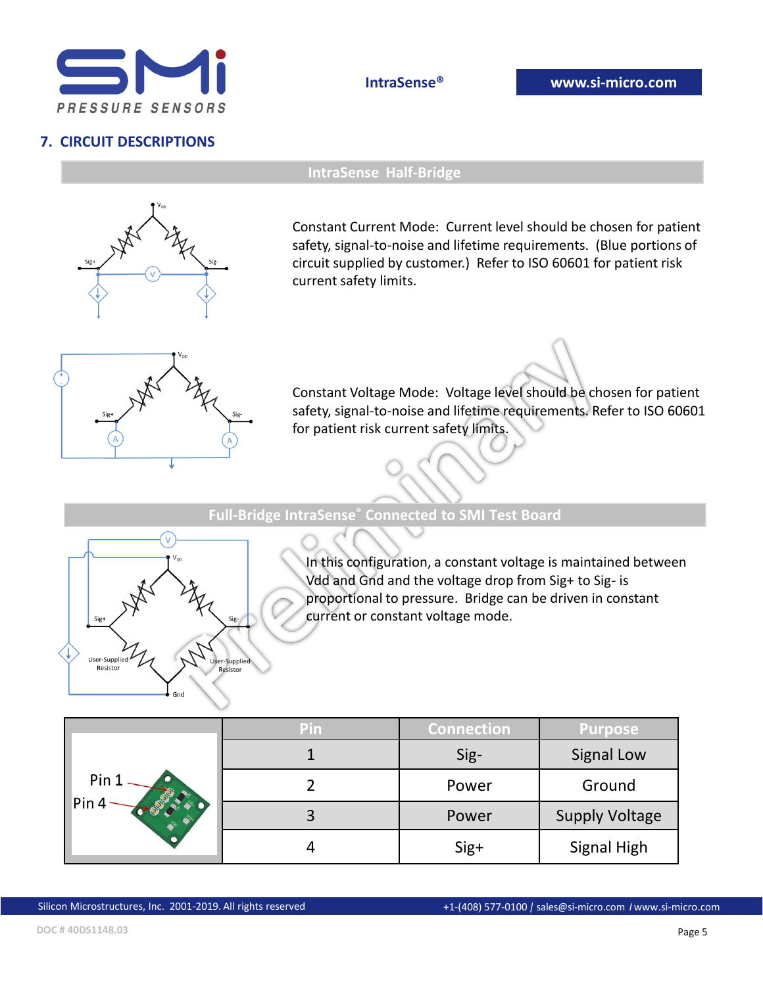

# **7. CIRCUIT DESCRIPTIONS**

**IntraSense® www.si-micro.com**



**IntraSense Half-Bridge**

Constant Current Mode: Current level should be chosen for patient safety, signal-to-noise and lifetime requirements. (Blue portions of circuit supplied by customer.) Refer to ISO 60601 for patient risk current safety limits.



Constant Voltage Mode: Voltage level should be chosen for patient safety, signal-to-noise and lifetime requirements. Refer to ISO 60601 for patient risk current safety limits.

**Full-Bridge IntraSense® Connected to SMI Test Board**



In this configuration, a constant voltage is maintained between Vdd and Gnd and the voltage drop from Sig+ to Sig- is proportional to pressure. Bridge can be driven in constant current or constant voltage mode.

|                           | Pin | <b>Connection</b> | <b>Purpose</b>        |
|---------------------------|-----|-------------------|-----------------------|
| Pin 1<br>Pin <sub>4</sub> |     | Sig-              | <b>Signal Low</b>     |
|                           |     | Power             | Ground                |
|                           |     | Power             | <b>Supply Voltage</b> |
|                           |     | Sig+              | <b>Signal High</b>    |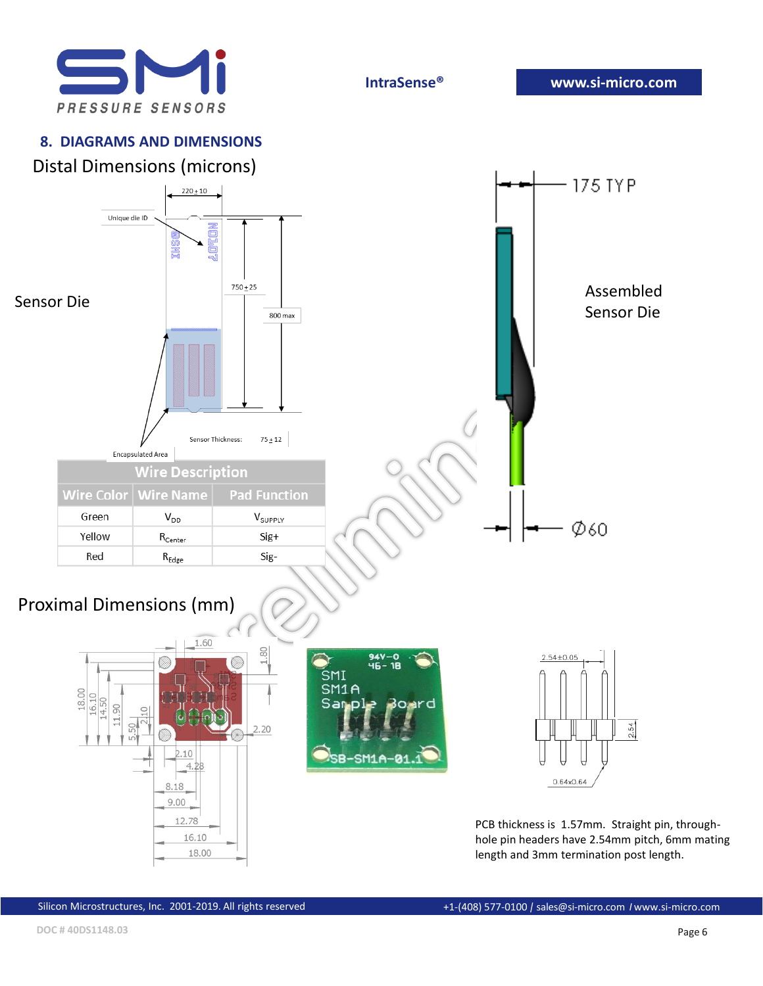

# **8. DIAGRAMS AND DIMENSIONS**



PCB thickness is 1.57mm. Straight pin, throughhole pin headers have 2.54mm pitch, 6mm mating length and 3mm termination post length.

18.00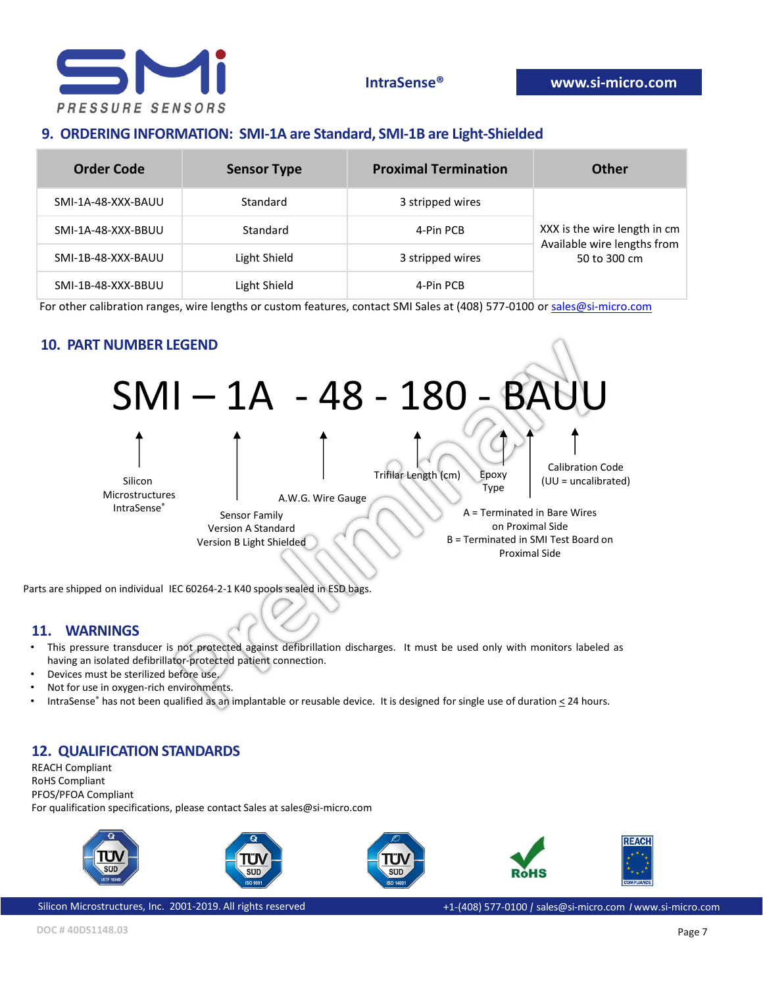

# **9. ORDERING INFORMATION: SMI-1A are Standard, SMI-1B are Light-Shielded**

| Order Code         | <b>Sensor Type</b> | <b>Proximal Termination</b> | Other                                       |
|--------------------|--------------------|-----------------------------|---------------------------------------------|
| SMI-1A-48-XXX-BAUU | Standard           | 3 stripped wires            |                                             |
| SMI-1A-48-XXX-BBUU | Standard           | 4-Pin PCB                   | XXX is the wire length in cm                |
| SMI-1B-48-XXX-BAUU | Light Shield       | 3 stripped wires            | Available wire lengths from<br>50 to 300 cm |
| SMI-1B-48-XXX-BBUU | Light Shield       | 4-Pin PCB                   |                                             |

For other calibration ranges, wire lengths or custom features, contact SMI Sales at (408) 577-0100 or [sales@si-micro.com](mailto:sales@si-micro.com)

# **10. PART NUMBER LEGEND**



Parts are shipped on individual IEC 60264-2-1 K40 spools sealed in ESD bags.

### **11. WARNINGS**

- This pressure transducer is not protected against defibrillation discharges. It must be used only with monitors labeled as having an isolated defibrillator-protected patient connection.
- Devices must be sterilized before use.
- Not for use in oxygen-rich environments.
- IntraSense® has not been qualified as an implantable or reusable device. It is designed for single use of duration < 24 hours.

# **12. QUALIFICATION STANDARDS**

REACH Compliant RoHS Compliant PFOS/PFOA Compliant For qualification specifications, please contact Sales at sales@si-micro.com



Silicon Microstructures, Inc. 2001-2019. All rights reserved +1-(408) 577-0100 *|* sales@si-micro.com *I* www.si-micro.com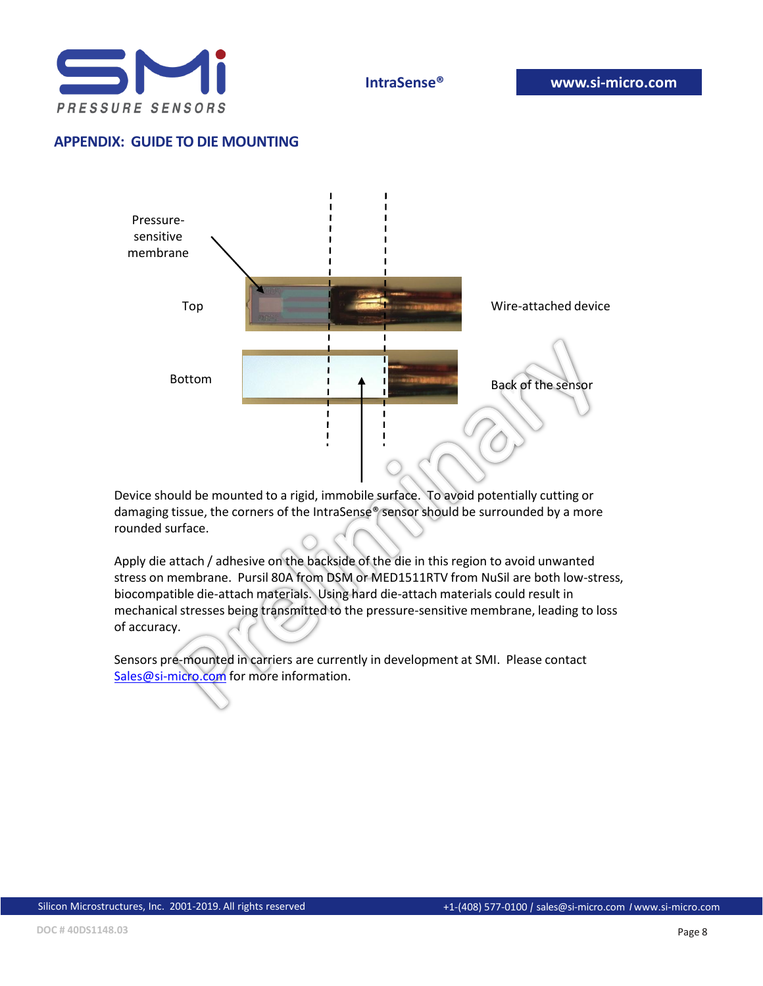

# **APPENDIX: GUIDE TO DIE MOUNTING**



Device should be mounted to a rigid, immobile surface. To avoid potentially cutting or damaging tissue, the corners of the IntraSense® sensor should be surrounded by a more rounded surface.

Apply die attach / adhesive on the backside of the die in this region to avoid unwanted stress on membrane. Pursil 80A from DSM or MED1511RTV from NuSil are both low-stress, biocompatible die-attach materials. Using hard die-attach materials could result in mechanical stresses being transmitted to the pressure-sensitive membrane, leading to loss of accuracy.

Sensors pre-mounted in carriers are currently in development at SMI. Please contact [Sales@si-micro.com](mailto:Sales@si-micro.com) for more information.